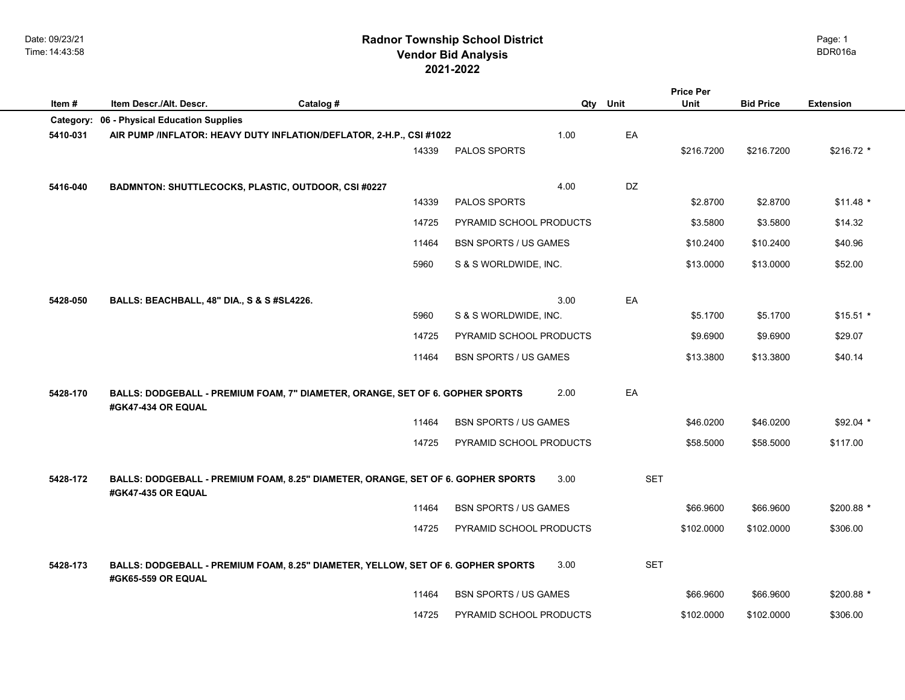Date: 09/23/21 Time: 14:43:58

## **2021-2022 Radnor Township School District Vendor Bid Analysis** BDR016a

|           |                                                                                                     |           |       |                              |          |            | <b>Price Per</b> |                  |                  |
|-----------|-----------------------------------------------------------------------------------------------------|-----------|-------|------------------------------|----------|------------|------------------|------------------|------------------|
| Item#     | Item Descr./Alt. Descr.                                                                             | Catalog # |       |                              | Qty Unit |            | Unit             | <b>Bid Price</b> | <b>Extension</b> |
| Category: | 06 - Physical Education Supplies                                                                    |           |       |                              |          |            |                  |                  |                  |
| 5410-031  | AIR PUMP /INFLATOR: HEAVY DUTY INFLATION/DEFLATOR, 2-H.P., CSI #1022                                |           |       |                              | 1.00     | EA         |                  |                  |                  |
|           |                                                                                                     |           | 14339 | PALOS SPORTS                 |          |            | \$216.7200       | \$216.7200       | \$216.72 *       |
|           |                                                                                                     |           |       |                              |          |            |                  |                  |                  |
| 5416-040  | BADMNTON: SHUTTLECOCKS, PLASTIC, OUTDOOR, CSI #0227                                                 |           |       |                              | 4.00     | DZ         |                  |                  |                  |
|           |                                                                                                     |           | 14339 | PALOS SPORTS                 |          |            | \$2.8700         | \$2.8700         | $$11.48$ *       |
|           |                                                                                                     |           | 14725 | PYRAMID SCHOOL PRODUCTS      |          |            | \$3.5800         | \$3.5800         | \$14.32          |
|           |                                                                                                     |           | 11464 | <b>BSN SPORTS / US GAMES</b> |          |            | \$10.2400        | \$10.2400        | \$40.96          |
|           |                                                                                                     |           | 5960  | S & S WORLDWIDE, INC.        |          |            | \$13.0000        | \$13.0000        | \$52.00          |
|           |                                                                                                     |           |       |                              |          |            |                  |                  |                  |
| 5428-050  | BALLS: BEACHBALL, 48" DIA., S & S #SL4226.                                                          |           |       |                              | 3.00     | EA         |                  |                  |                  |
|           |                                                                                                     |           | 5960  | S & S WORLDWIDE, INC.        |          |            | \$5.1700         | \$5.1700         | $$15.51$ *       |
|           |                                                                                                     |           | 14725 | PYRAMID SCHOOL PRODUCTS      |          |            | \$9.6900         | \$9.6900         | \$29.07          |
|           |                                                                                                     |           | 11464 | <b>BSN SPORTS / US GAMES</b> |          |            | \$13,3800        | \$13.3800        | \$40.14          |
|           |                                                                                                     |           |       |                              |          |            |                  |                  |                  |
|           |                                                                                                     |           |       |                              |          |            |                  |                  |                  |
| 5428-170  | BALLS: DODGEBALL - PREMIUM FOAM, 7" DIAMETER, ORANGE, SET OF 6. GOPHER SPORTS<br>#GK47-434 OR EQUAL |           |       |                              | 2.00     | EA         |                  |                  |                  |
|           |                                                                                                     |           | 11464 | <b>BSN SPORTS / US GAMES</b> |          |            | \$46.0200        | \$46.0200        | $$92.04$ *       |
|           |                                                                                                     |           | 14725 | PYRAMID SCHOOL PRODUCTS      |          |            | \$58.5000        | \$58.5000        | \$117.00         |
|           |                                                                                                     |           |       |                              |          |            |                  |                  |                  |
| 5428-172  | BALLS: DODGEBALL - PREMIUM FOAM, 8.25" DIAMETER, ORANGE, SET OF 6. GOPHER SPORTS                    |           |       |                              | 3.00     | <b>SET</b> |                  |                  |                  |
|           | #GK47-435 OR EQUAL                                                                                  |           |       |                              |          |            |                  |                  |                  |
|           |                                                                                                     |           | 11464 | <b>BSN SPORTS / US GAMES</b> |          |            | \$66,9600        | \$66.9600        | $$200.88$ *      |
|           |                                                                                                     |           | 14725 | PYRAMID SCHOOL PRODUCTS      |          |            | \$102.0000       | \$102.0000       | \$306.00         |
|           |                                                                                                     |           |       |                              |          |            |                  |                  |                  |
| 5428-173  | BALLS: DODGEBALL - PREMIUM FOAM, 8.25" DIAMETER, YELLOW, SET OF 6. GOPHER SPORTS                    |           |       |                              | 3.00     | <b>SET</b> |                  |                  |                  |
|           | #GK65-559 OR EQUAL                                                                                  |           |       |                              |          |            |                  |                  |                  |
|           |                                                                                                     |           | 11464 | <b>BSN SPORTS / US GAMES</b> |          |            | \$66.9600        | \$66.9600        | $$200.88$ *      |
|           |                                                                                                     |           | 14725 | PYRAMID SCHOOL PRODUCTS      |          |            | \$102,0000       | \$102.0000       | \$306.00         |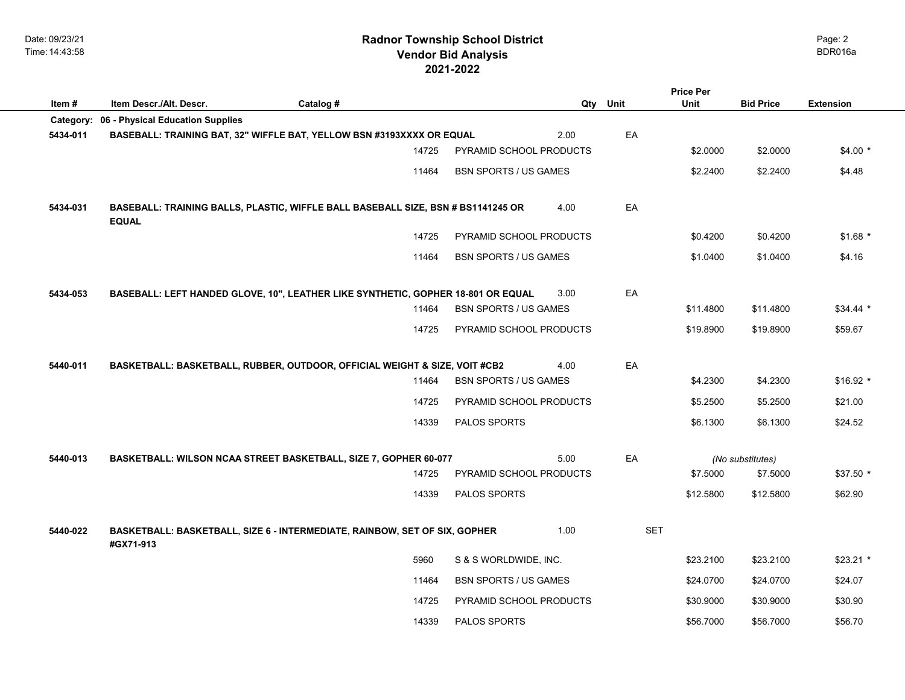Date: 09/23/21 Time: 14:43:58

## **2021-2022 Radnor Township School District Vendor Bid Analysis** BDR016a

| Item#     | Item Descr./Alt. Descr.          | Catalog #                                                                        |                              |      | Qty Unit   | <b>Price Per</b><br><b>Unit</b> | <b>Bid Price</b>             | <b>Extension</b> |  |
|-----------|----------------------------------|----------------------------------------------------------------------------------|------------------------------|------|------------|---------------------------------|------------------------------|------------------|--|
| Category: | 06 - Physical Education Supplies |                                                                                  |                              |      |            |                                 |                              |                  |  |
| 5434-011  |                                  | BASEBALL: TRAINING BAT, 32" WIFFLE BAT, YELLOW BSN #3193XXXX OR EQUAL            |                              | 2.00 | EA         |                                 |                              |                  |  |
|           |                                  | 14725                                                                            | PYRAMID SCHOOL PRODUCTS      |      |            | \$2.0000                        | \$2.0000                     | $$4.00*$         |  |
|           |                                  | 11464                                                                            | <b>BSN SPORTS / US GAMES</b> |      |            | \$2.2400                        | \$2.2400                     | \$4.48           |  |
| 5434-031  | <b>EQUAL</b>                     | BASEBALL: TRAINING BALLS, PLASTIC, WIFFLE BALL BASEBALL SIZE, BSN # BS1141245 OR |                              | 4.00 | EA         |                                 |                              |                  |  |
|           |                                  | 14725                                                                            | PYRAMID SCHOOL PRODUCTS      |      |            | \$0.4200                        | \$0.4200                     | $$1.68$ *        |  |
|           |                                  | 11464                                                                            | <b>BSN SPORTS / US GAMES</b> |      |            | \$1.0400                        | \$1.0400                     | \$4.16           |  |
| 5434-053  |                                  | BASEBALL: LEFT HANDED GLOVE, 10", LEATHER LIKE SYNTHETIC, GOPHER 18-801 OR EQUAL |                              | 3.00 | EA         |                                 |                              |                  |  |
|           |                                  | 11464                                                                            | <b>BSN SPORTS / US GAMES</b> |      |            | \$11.4800                       | \$11.4800                    | $$34.44*$        |  |
|           |                                  | 14725                                                                            | PYRAMID SCHOOL PRODUCTS      |      |            | \$19.8900                       | \$19.8900                    | \$59.67          |  |
| 5440-011  |                                  | BASKETBALL: BASKETBALL, RUBBER, OUTDOOR, OFFICIAL WEIGHT & SIZE, VOIT #CB2       |                              | 4.00 | EA         |                                 |                              |                  |  |
|           |                                  | 11464                                                                            | <b>BSN SPORTS / US GAMES</b> |      |            | \$4.2300                        | \$4.2300                     | $$16.92$ *       |  |
|           |                                  | 14725                                                                            | PYRAMID SCHOOL PRODUCTS      |      |            | \$5.2500                        | \$5.2500                     | \$21.00          |  |
|           |                                  | 14339                                                                            | <b>PALOS SPORTS</b>          |      |            | \$6.1300                        | \$6.1300                     | \$24.52          |  |
| 5440-013  |                                  |                                                                                  |                              | 5.00 | EA         |                                 |                              |                  |  |
|           |                                  | BASKETBALL: WILSON NCAA STREET BASKETBALL, SIZE 7, GOPHER 60-077<br>14725        | PYRAMID SCHOOL PRODUCTS      |      |            | \$7.5000                        | (No substitutes)<br>\$7.5000 | $$37.50*$        |  |
|           |                                  | 14339                                                                            | PALOS SPORTS                 |      |            | \$12.5800                       | \$12.5800                    | \$62.90          |  |
|           |                                  |                                                                                  |                              |      |            |                                 |                              |                  |  |
| 5440-022  | #GX71-913                        | BASKETBALL: BASKETBALL, SIZE 6 - INTERMEDIATE, RAINBOW, SET OF SIX, GOPHER       |                              | 1.00 | <b>SET</b> |                                 |                              |                  |  |
|           |                                  | 5960                                                                             | S & S WORLDWIDE, INC.        |      |            | \$23.2100                       | \$23.2100                    | $$23.21$ *       |  |
|           |                                  | 11464                                                                            | <b>BSN SPORTS / US GAMES</b> |      |            | \$24.0700                       | \$24.0700                    | \$24.07          |  |
|           |                                  | 14725                                                                            | PYRAMID SCHOOL PRODUCTS      |      |            | \$30.9000                       | \$30.9000                    | \$30.90          |  |
|           |                                  | 14339                                                                            | PALOS SPORTS                 |      |            | \$56.7000                       | \$56.7000                    | \$56.70          |  |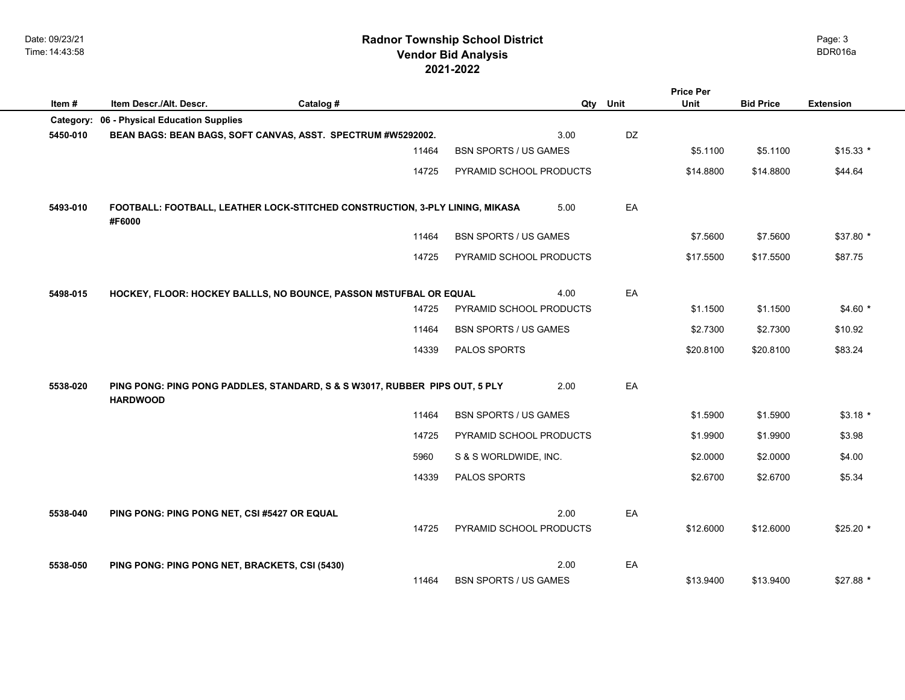Date: 09/23/21 Time: 14:43:58

## **2021-2022 Radnor Township School District Vendor Bid Analysis** BDR016a

|                                                                               |                                                                                                |           |       |                              |      |      | <b>Price Per</b> |                  |                  |  |
|-------------------------------------------------------------------------------|------------------------------------------------------------------------------------------------|-----------|-------|------------------------------|------|------|------------------|------------------|------------------|--|
| Item#                                                                         | Item Descr./Alt. Descr.                                                                        | Catalog # |       |                              | Qty  | Unit | <b>Unit</b>      | <b>Bid Price</b> | <b>Extension</b> |  |
| Category:                                                                     | 06 - Physical Education Supplies                                                               |           |       |                              |      |      |                  |                  |                  |  |
| 5450-010                                                                      | BEAN BAGS: BEAN BAGS, SOFT CANVAS, ASST. SPECTRUM #W5292002.                                   |           |       |                              | 3.00 | DZ   |                  |                  |                  |  |
|                                                                               |                                                                                                |           | 11464 | <b>BSN SPORTS / US GAMES</b> |      |      | \$5.1100         | \$5.1100         | $$15.33*$        |  |
|                                                                               |                                                                                                |           | 14725 | PYRAMID SCHOOL PRODUCTS      |      |      | \$14.8800        | \$14.8800        | \$44.64          |  |
|                                                                               |                                                                                                |           |       |                              |      |      |                  |                  |                  |  |
| 5493-010                                                                      | FOOTBALL: FOOTBALL, LEATHER LOCK-STITCHED CONSTRUCTION, 3-PLY LINING, MIKASA<br>#F6000         |           |       | 5.00                         | EA   |      |                  |                  |                  |  |
|                                                                               |                                                                                                |           | 11464 | <b>BSN SPORTS / US GAMES</b> |      |      | \$7.5600         | \$7.5600         | $$37.80$ *       |  |
|                                                                               |                                                                                                |           | 14725 | PYRAMID SCHOOL PRODUCTS      |      |      | \$17.5500        | \$17.5500        | \$87.75          |  |
|                                                                               |                                                                                                |           |       |                              |      |      |                  |                  |                  |  |
| 5498-015<br>HOCKEY, FLOOR: HOCKEY BALLLS, NO BOUNCE, PASSON MSTUFBAL OR EQUAL |                                                                                                |           | 4.00  | EA                           |      |      |                  |                  |                  |  |
|                                                                               |                                                                                                |           | 14725 | PYRAMID SCHOOL PRODUCTS      |      |      | \$1.1500         | \$1.1500         | $$4.60*$         |  |
|                                                                               |                                                                                                |           | 11464 | <b>BSN SPORTS / US GAMES</b> |      |      | \$2.7300         | \$2.7300         | \$10.92          |  |
|                                                                               |                                                                                                |           | 14339 | PALOS SPORTS                 |      |      | \$20.8100        | \$20.8100        | \$83.24          |  |
|                                                                               |                                                                                                |           |       |                              |      |      |                  |                  |                  |  |
| 5538-020                                                                      | PING PONG: PING PONG PADDLES, STANDARD, S & S W3017, RUBBER PIPS OUT, 5 PLY<br><b>HARDWOOD</b> |           |       |                              | 2.00 | EA   |                  |                  |                  |  |
|                                                                               |                                                                                                |           | 11464 | <b>BSN SPORTS / US GAMES</b> |      |      | \$1.5900         | \$1.5900         | $$3.18$ *        |  |
|                                                                               |                                                                                                |           | 14725 | PYRAMID SCHOOL PRODUCTS      |      |      | \$1.9900         | \$1.9900         | \$3.98           |  |
|                                                                               |                                                                                                |           | 5960  | S & S WORLDWIDE, INC.        |      |      | \$2.0000         | \$2.0000         | \$4.00           |  |
|                                                                               |                                                                                                |           | 14339 | PALOS SPORTS                 |      |      | \$2.6700         | \$2.6700         | \$5.34           |  |
|                                                                               |                                                                                                |           |       |                              |      |      |                  |                  |                  |  |
| 5538-040                                                                      | PING PONG: PING PONG NET, CSI #5427 OR EQUAL                                                   |           |       |                              | 2.00 | EA   |                  |                  |                  |  |
|                                                                               |                                                                                                |           | 14725 | PYRAMID SCHOOL PRODUCTS      |      |      | \$12.6000        | \$12.6000        | $$25.20$ *       |  |
|                                                                               |                                                                                                |           |       |                              |      |      |                  |                  |                  |  |
| 5538-050                                                                      | PING PONG: PING PONG NET, BRACKETS, CSI (5430)                                                 |           |       |                              | 2.00 | EA   |                  |                  |                  |  |
|                                                                               |                                                                                                |           | 11464 | <b>BSN SPORTS / US GAMES</b> |      |      | \$13.9400        | \$13.9400        | $$27.88*$        |  |